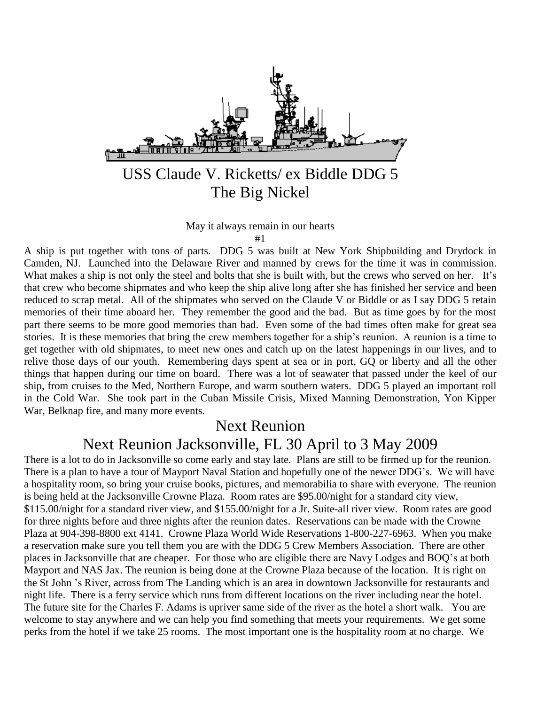

# USS Claude V. Ricketts/ ex Biddle DDG 5 The Big Nickel

May it always remain in our hearts

#1

A ship is put together with tons of parts. DDG 5 was built at New York Shipbuilding and Drydock in Camden, NJ. Launched into the Delaware River and manned by crews for the time it was in commission. What makes a ship is not only the steel and bolts that she is built with, but the crews who served on her. It's that crew who become shipmates and who keep the ship alive long after she has finished her service and been reduced to scrap metal. All of the shipmates who served on the Claude V or Biddle or as I say DDG 5 retain memories of their time aboard her. They remember the good and the bad. But as time goes by for the most part there seems to be more good memories than bad. Even some of the bad times often make for great sea stories. It is these memories that bring the crew members together for a ship's reunion. A reunion is a time to get together with old shipmates, to meet new ones and catch up on the latest happenings in our lives, and to relive those days of our youth. Remembering days spent at sea or in port, GQ or liberty and all the other things that happen during our time on board. There was a lot of seawater that passed under the keel of our ship, from cruises to the Med, Northern Europe, and warm southern waters. DDG 5 played an important roll in the Cold War. She took part in the Cuban Missile Crisis, Mixed Manning Demonstration, Yon Kipper War, Belknap fire, and many more events.

### Next Reunion

## Next Reunion Jacksonville, FL 30 April to 3 May 2009

There is a lot to do in Jacksonville so come early and stay late. Plans are still to be firmed up for the reunion. There is a plan to have a tour of Mayport Naval Station and hopefully one of the newer DDG's. We will have a hospitality room, so bring your cruise books, pictures, and memorabilia to share with everyone. The reunion is being held at the Jacksonville Crowne Plaza. Room rates are \$95.00/night for a standard city view, \$115.00/night for a standard river view, and \$155.00/night for a Jr. Suite-all river view. Room rates are good for three nights before and three nights after the reunion dates. Reservations can be made with the Crowne Plaza at 904-398-8800 ext 4141. Crowne Plaza World Wide Reservations 1-800-227-6963. When you make a reservation make sure you tell them you are with the DDG 5 Crew Members Association. There are other places in Jacksonville that are cheaper. For those who are eligible there are Navy Lodges and BOQ's at both Mayport and NAS Jax. The reunion is being done at the Crowne Plaza because of the location. It is right on the St John 's River, across from The Landing which is an area in downtown Jacksonville for restaurants and night life. There is a ferry service which runs from different locations on the river including near the hotel. The future site for the Charles F. Adams is upriver same side of the river as the hotel a short walk. You are welcome to stay anywhere and we can help you find something that meets your requirements. We get some perks from the hotel if we take 25 rooms. The most important one is the hospitality room at no charge. We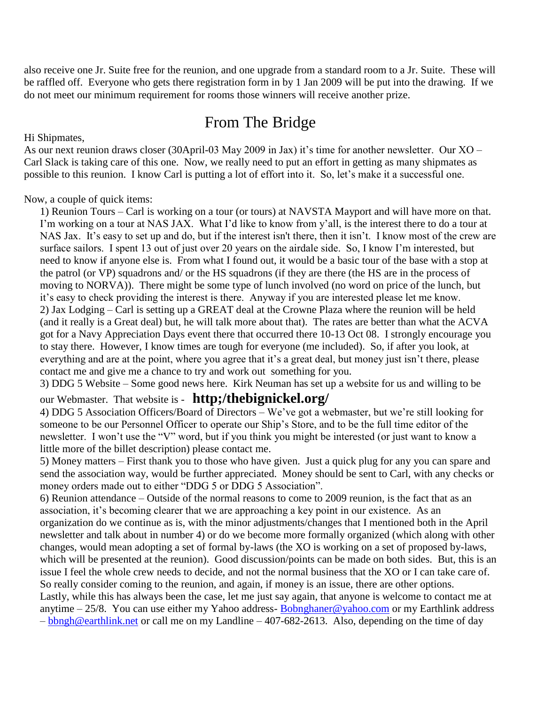also receive one Jr. Suite free for the reunion, and one upgrade from a standard room to a Jr. Suite. These will be raffled off. Everyone who gets there registration form in by 1 Jan 2009 will be put into the drawing. If we do not meet our minimum requirement for rooms those winners will receive another prize.

## From The Bridge

Hi Shipmates,

As our next reunion draws closer (30April-03 May 2009 in Jax) it's time for another newsletter. Our XO – Carl Slack is taking care of this one. Now, we really need to put an effort in getting as many shipmates as possible to this reunion. I know Carl is putting a lot of effort into it. So, let's make it a successful one.

Now, a couple of quick items:

1) Reunion Tours – Carl is working on a tour (or tours) at NAVSTA Mayport and will have more on that. I'm working on a tour at NAS JAX. What I'd like to know from y'all, is the interest there to do a tour at NAS Jax. It's easy to set up and do, but if the interest isn't there, then it isn't. I know most of the crew are surface sailors. I spent 13 out of just over 20 years on the airdale side. So, I know I'm interested, but need to know if anyone else is. From what I found out, it would be a basic tour of the base with a stop at the patrol (or VP) squadrons and/ or the HS squadrons (if they are there (the HS are in the process of moving to NORVA)). There might be some type of lunch involved (no word on price of the lunch, but it's easy to check providing the interest is there. Anyway if you are interested please let me know. 2) Jax Lodging – Carl is setting up a GREAT deal at the Crowne Plaza where the reunion will be held (and it really is a Great deal) but, he will talk more about that). The rates are better than what the ACVA got for a Navy Appreciation Days event there that occurred there 10-13 Oct 08. I strongly encourage you to stay there. However, I know times are tough for everyone (me included). So, if after you look, at everything and are at the point, where you agree that it's a great deal, but money just isn't there, please contact me and give me a chance to try and work out something for you.

3) DDG 5 Website – Some good news here. Kirk Neuman has set up a website for us and willing to be

our Webmaster. That website is - **http;/thebignickel.org/**

4) DDG 5 Association Officers/Board of Directors – We've got a webmaster, but we're still looking for someone to be our Personnel Officer to operate our Ship's Store, and to be the full time editor of the newsletter. I won't use the "V" word, but if you think you might be interested (or just want to know a little more of the billet description) please contact me.

5) Money matters – First thank you to those who have given. Just a quick plug for any you can spare and send the association way, would be further appreciated. Money should be sent to Carl, with any checks or money orders made out to either "DDG 5 or DDG 5 Association".

6) Reunion attendance – Outside of the normal reasons to come to 2009 reunion, is the fact that as an association, it's becoming clearer that we are approaching a key point in our existence. As an organization do we continue as is, with the minor adjustments/changes that I mentioned both in the April newsletter and talk about in number 4) or do we become more formally organized (which along with other changes, would mean adopting a set of formal by-laws (the XO is working on a set of proposed by-laws, which will be presented at the reunion). Good discussion/points can be made on both sides. But, this is an issue I feel the whole crew needs to decide, and not the normal business that the XO or I can take care of. So really consider coming to the reunion, and again, if money is an issue, there are other options. Lastly, while this has always been the case, let me just say again, that anyone is welcome to contact me at

anytime – 25/8. You can use either my Yahoo address- [Bobnghaner@yahoo.com](mailto:Bobhaner@yahoo.com) or my Earthlink address – [bbngh@earthlink.net](mailto:bbngh@earthlink.net) or call me on my Landline – 407-682-2613. Also, depending on the time of day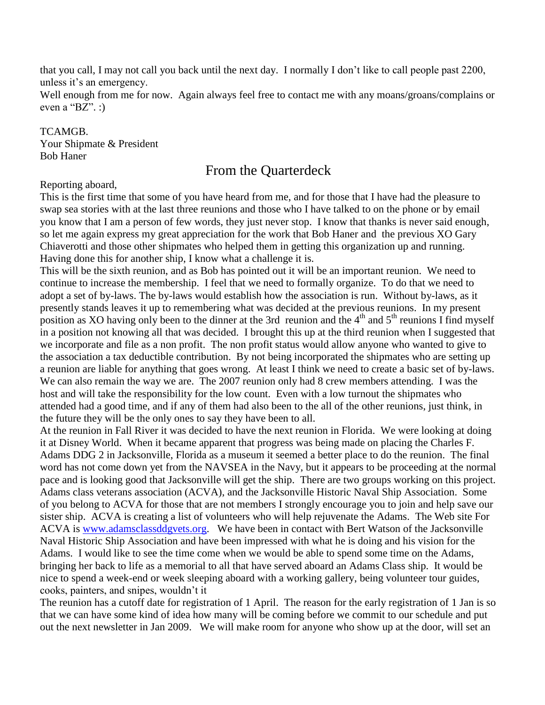that you call, I may not call you back until the next day. I normally I don't like to call people past 2200, unless it's an emergency.

Well enough from me for now. Again always feel free to contact me with any moans/groans/complains or even a "BZ". :)

#### TCAMGB.

Your Shipmate & President Bob Haner

### From the Quarterdeck

#### Reporting aboard,

This is the first time that some of you have heard from me, and for those that I have had the pleasure to swap sea stories with at the last three reunions and those who I have talked to on the phone or by email you know that I am a person of few words, they just never stop. I know that thanks is never said enough, so let me again express my great appreciation for the work that Bob Haner and the previous XO Gary Chiaverotti and those other shipmates who helped them in getting this organization up and running. Having done this for another ship, I know what a challenge it is.

This will be the sixth reunion, and as Bob has pointed out it will be an important reunion. We need to continue to increase the membership. I feel that we need to formally organize. To do that we need to adopt a set of by-laws. The by-laws would establish how the association is run. Without by-laws, as it presently stands leaves it up to remembering what was decided at the previous reunions. In my present position as XO having only been to the dinner at the 3rd reunion and the  $4<sup>th</sup>$  and  $5<sup>th</sup>$  reunions I find myself in a position not knowing all that was decided. I brought this up at the third reunion when I suggested that we incorporate and file as a non profit. The non profit status would allow anyone who wanted to give to the association a tax deductible contribution. By not being incorporated the shipmates who are setting up a reunion are liable for anything that goes wrong. At least I think we need to create a basic set of by-laws. We can also remain the way we are. The 2007 reunion only had 8 crew members attending. I was the host and will take the responsibility for the low count. Even with a low turnout the shipmates who attended had a good time, and if any of them had also been to the all of the other reunions, just think, in the future they will be the only ones to say they have been to all.

At the reunion in Fall River it was decided to have the next reunion in Florida. We were looking at doing it at Disney World. When it became apparent that progress was being made on placing the Charles F. Adams DDG 2 in Jacksonville, Florida as a museum it seemed a better place to do the reunion. The final word has not come down yet from the NAVSEA in the Navy, but it appears to be proceeding at the normal pace and is looking good that Jacksonville will get the ship. There are two groups working on this project. Adams class veterans association (ACVA), and the Jacksonville Historic Naval Ship Association. Some of you belong to ACVA for those that are not members I strongly encourage you to join and help save our sister ship. ACVA is creating a list of volunteers who will help rejuvenate the Adams. The Web site For ACVA is [www.adamsclassddgvets.org.](http://www.adamsclassddgvets.org/) We have been in contact with Bert Watson of the Jacksonville Naval Historic Ship Association and have been impressed with what he is doing and his vision for the Adams. I would like to see the time come when we would be able to spend some time on the Adams, bringing her back to life as a memorial to all that have served aboard an Adams Class ship. It would be nice to spend a week-end or week sleeping aboard with a working gallery, being volunteer tour guides, cooks, painters, and snipes, wouldn't it

The reunion has a cutoff date for registration of 1 April. The reason for the early registration of 1 Jan is so that we can have some kind of idea how many will be coming before we commit to our schedule and put out the next newsletter in Jan 2009. We will make room for anyone who show up at the door, will set an